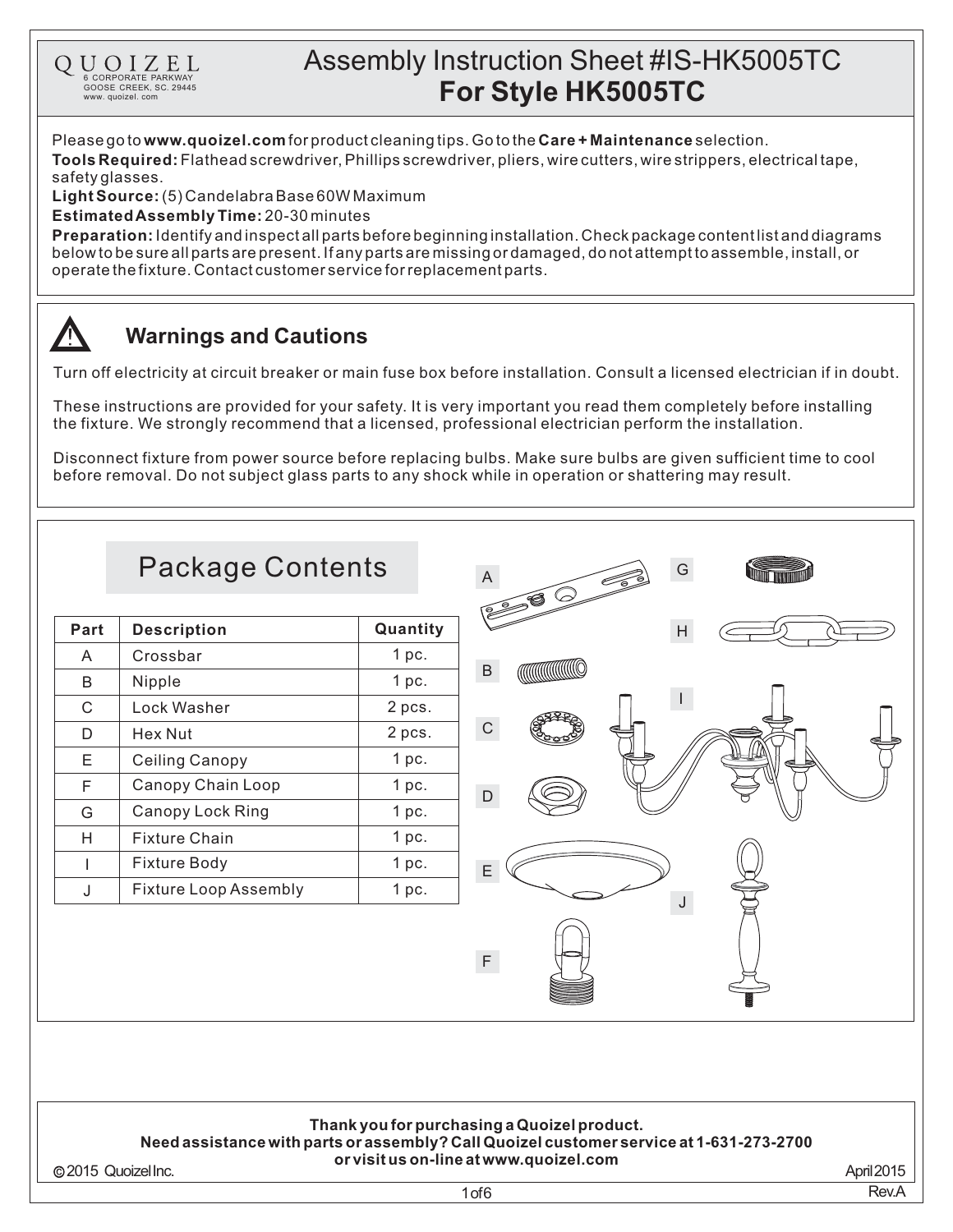Please go to **www.quoizel.com** for product cleaning tips. Go to the **Care + Maintenance** selection.

**Tools Required:** Flathead screwdriver, Phillips screwdriver, pliers, wire cutters, wire strippers, electrical tape, safetyglasses.

(5)CandelabraBase60WMaximum **LightSource:**

**Estimated Assembly Time:** 20-30 minutes

6 CORPORATE PARKWAY<br>GOOSE CREEK, SC. 29445 www. quoizel. com

QUOIZEL

**Preparation:** Identify and inspect all parts before beginning installation. Check package content list and diagrams belowtobesureallpartsarepresent.Ifanypartsaremissingordamaged,donotattempttoassemble,install,or operate the fixture. Contact customer service for replacement parts.

## **Warnings and Cautions**

Turn off electricity at circuit breaker or main fuse box before installation. Consult a licensed electrician if in doubt.

These instructions are provided for your safety. It is very important you read them completely before installing the fixture. We strongly recommend that a licensed, professional electrician perform the installation.

Disconnect fixture from power source before replacing bulbs. Make sure bulbs are given sufficient time to cool before removal. Do not subject glass parts to any shock while in operation or shattering may result.



**Thank youfor purchasinga Quoizelproduct. Needassistance withparts or assembly?CallQuoizelcustomer service at 1-631-273-2700 or visit us on-line at www.quoizel.com**

2015 QuoizelInc.

April2015 Rev.A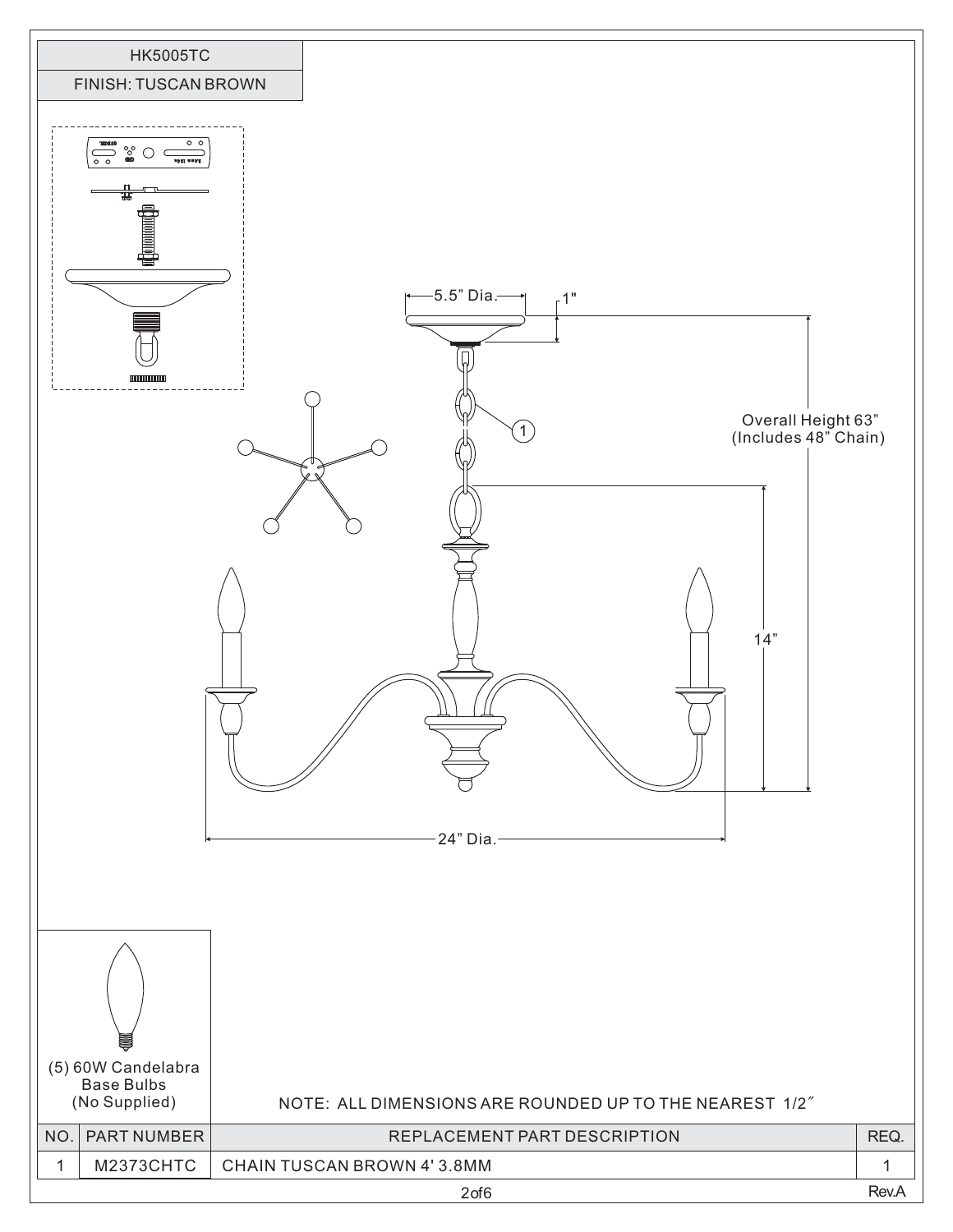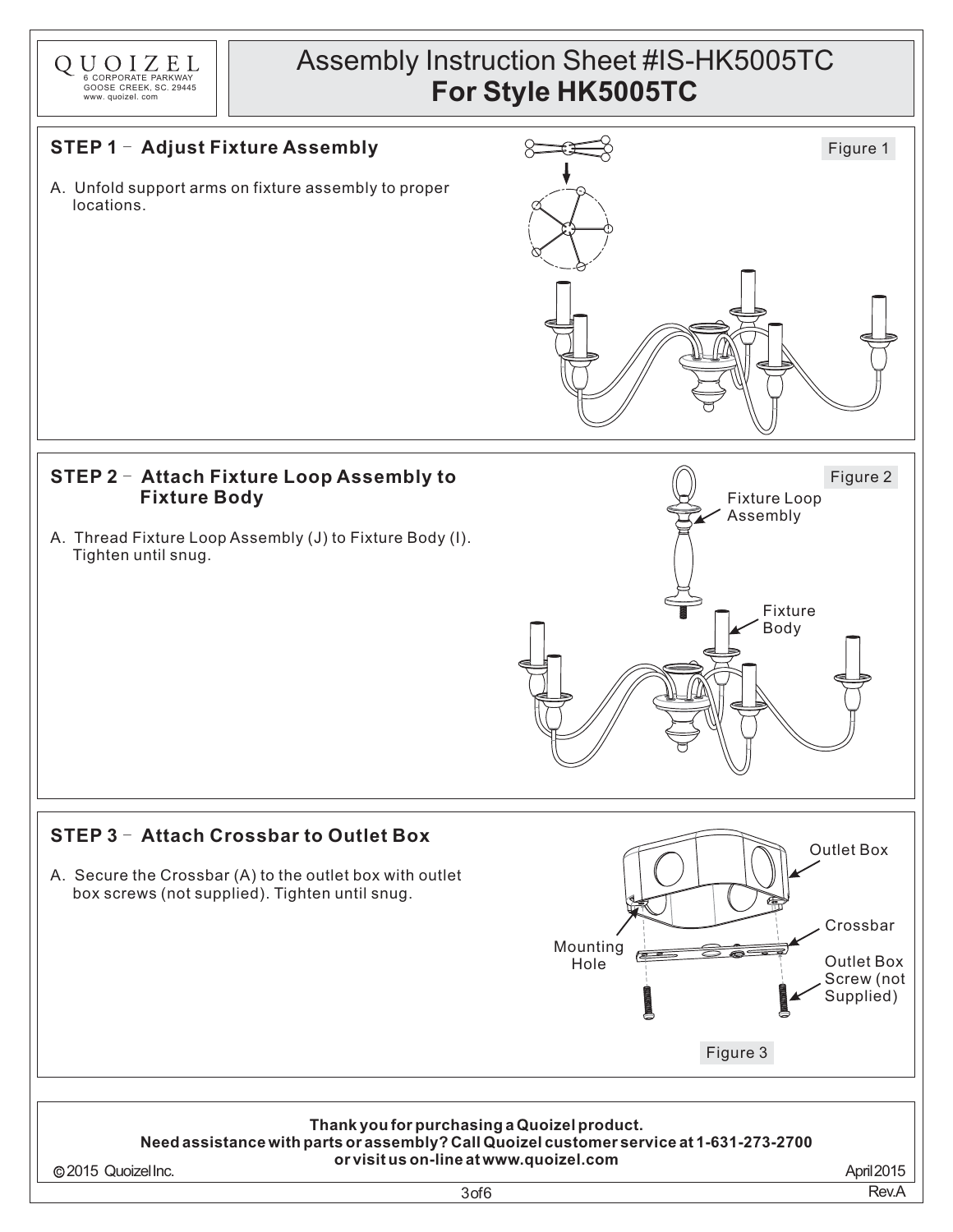

### **STEP 1 - Adjust Fixture Assembly**

A. Unfold support arms on fixture assembly to proper locations.



#### **STEP 2** - **Attach Fixture Loop Assembly to Fixture Body**

A. Thread Fixture Loop Assembly (J) to Fixture Body (I). Tighten until snug.



Figure 3

 $\bullet$ 

#### **STEP 3** - **Attach Crossbar to Outlet Box**

A. Secure the Crossbar (A) to the outlet box with outlet box screws (not supplied). Tighten until snug.

#### **Thank youfor purchasinga Quoizelproduct. Needassistance withparts or assembly?CallQuoizelcustomer service at 1-631-273-2700 or visit us on-line at www.quoizel.com**

Mounting Hole

2015 QuoizelInc.

3of6

April2015 Rev.A

Outlet Box Screw (not Supplied)

Crossbar

Outlet Box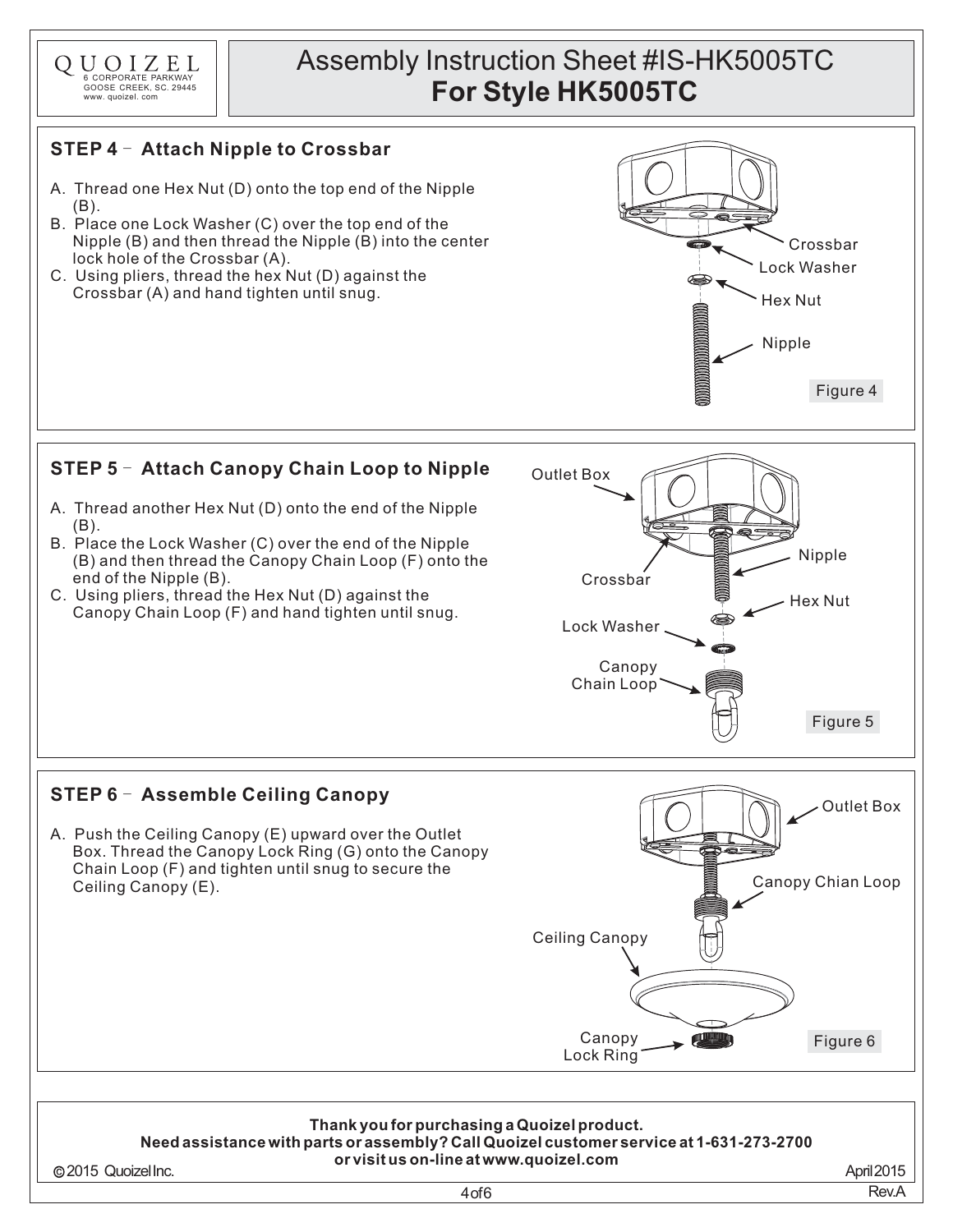

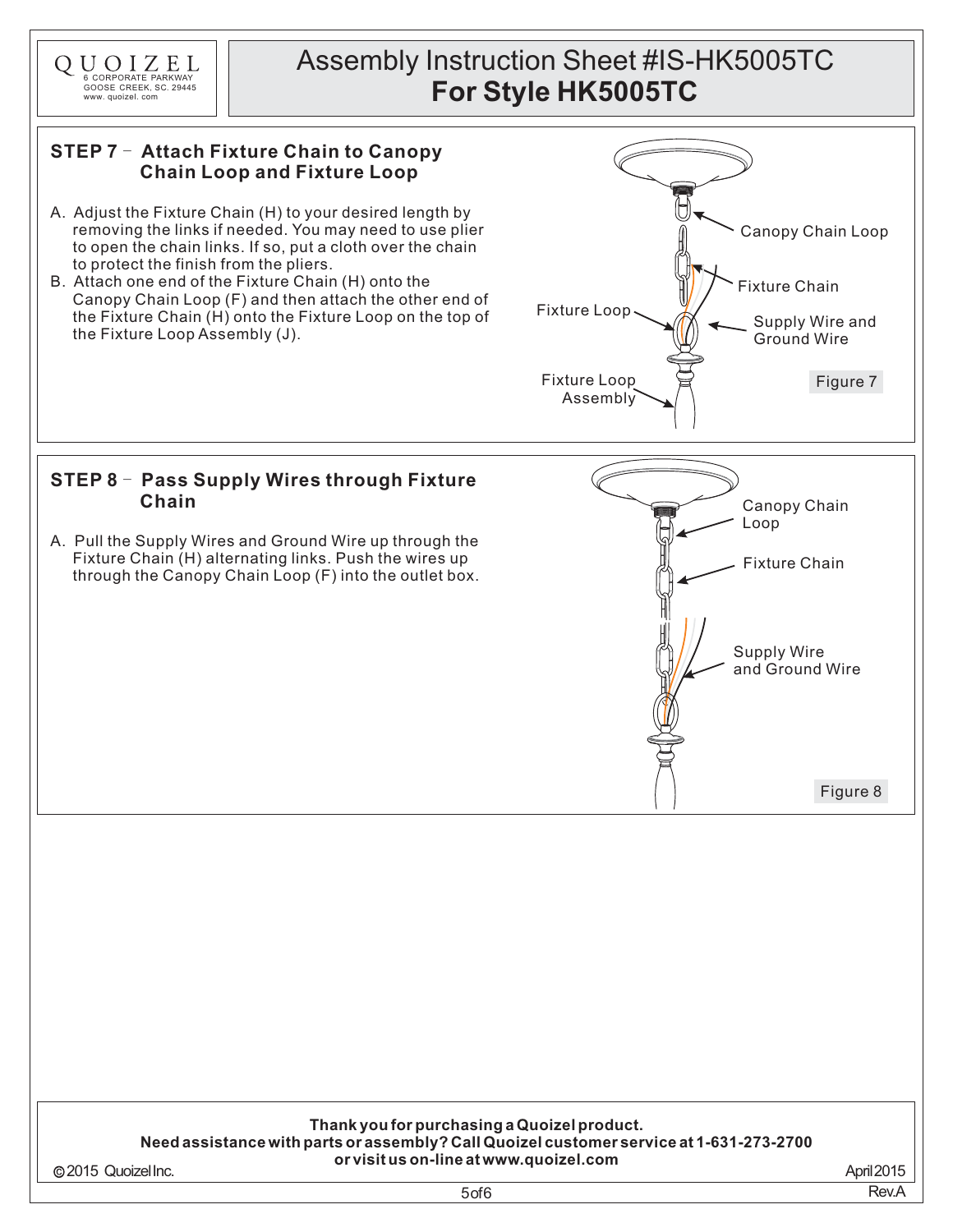

2015 QuoizelInc.

5of6

April2015 Rev.A